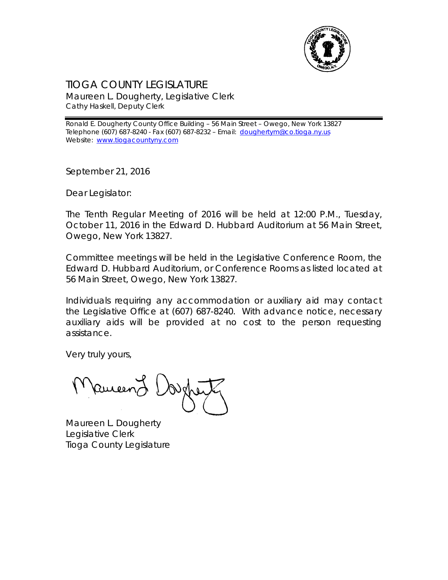

## TIOGA COUNTY LEGISLATURE Maureen L. Dougherty, Legislative Clerk Cathy Haskell, Deputy Clerk

Ronald E. Dougherty County Office Building – 56 Main Street – Owego, New York 13827 Telephone (607) 687-8240 - Fax (607) 687-8232 - Email: [doughertym@co.tioga.ny.us](mailto:doughertym@co.tioga.ny.us) Website: [www.tiogacountyny.com](http://www.tiogacountyny.com/)

September 21, 2016

Dear Legislator:

The Tenth Regular Meeting of 2016 will be held at 12:00 P.M., Tuesday, October 11, 2016 in the Edward D. Hubbard Auditorium at 56 Main Street, Owego, New York 13827.

Committee meetings will be held in the Legislative Conference Room, the Edward D. Hubbard Auditorium, or Conference Rooms as listed located at 56 Main Street, Owego, New York 13827.

Individuals requiring any accommodation or auxiliary aid may contact the Legislative Office at (607) 687-8240. With advance notice, necessary auxiliary aids will be provided at no cost to the person requesting assistance.

Very truly yours,

Ruceer

Maureen L. Dougherty Legislative Clerk Tioga County Legislature